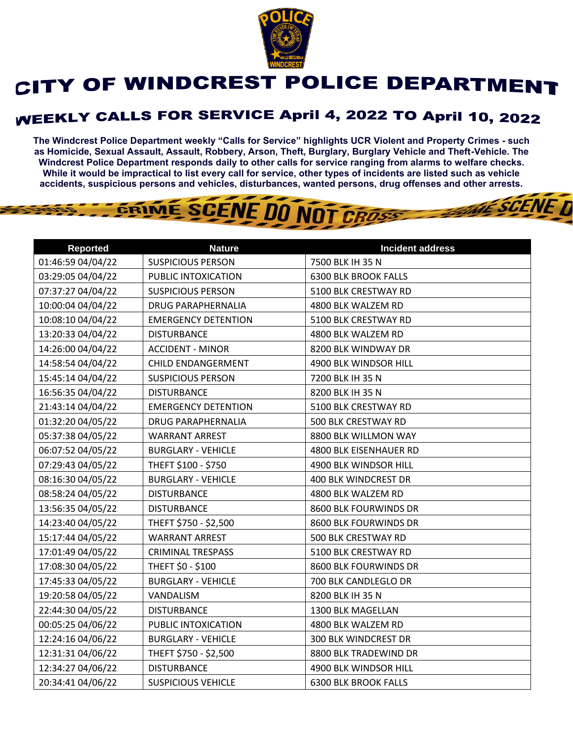

## CITY OF WINDCREST POLICE DEPARTMENT

## **WEEKLY CALLS FOR SERVICE April 4, 2022 TO April 10, 2022**

**The Windcrest Police Department weekly "Calls for Service" highlights UCR Violent and Property Crimes - such as Homicide, Sexual Assault, Assault, Robbery, Arson, Theft, Burglary, Burglary Vehicle and Theft-Vehicle. The Windcrest Police Department responds daily to other calls for service ranging from alarms to welfare checks. While it would be impractical to list every call for service, other types of incidents are listed such as vehicle accidents, suspicious persons and vehicles, disturbances, wanted persons, drug offenses and other arrests.** 

**THE SCENE D** 

GRIME SCENE DO NOT CROSS

| <b>Reported</b>   | <b>Nature</b>              | <b>Incident address</b>     |
|-------------------|----------------------------|-----------------------------|
| 01:46:59 04/04/22 | <b>SUSPICIOUS PERSON</b>   | 7500 BLK IH 35 N            |
| 03:29:05 04/04/22 | PUBLIC INTOXICATION        | <b>6300 BLK BROOK FALLS</b> |
| 07:37:27 04/04/22 | <b>SUSPICIOUS PERSON</b>   | 5100 BLK CRESTWAY RD        |
| 10:00:04 04/04/22 | <b>DRUG PARAPHERNALIA</b>  | 4800 BLK WALZEM RD          |
| 10:08:10 04/04/22 | <b>EMERGENCY DETENTION</b> | 5100 BLK CRESTWAY RD        |
| 13:20:33 04/04/22 | <b>DISTURBANCE</b>         | 4800 BLK WALZEM RD          |
| 14:26:00 04/04/22 | <b>ACCIDENT - MINOR</b>    | 8200 BLK WINDWAY DR         |
| 14:58:54 04/04/22 | CHILD ENDANGERMENT         | 4900 BLK WINDSOR HILL       |
| 15:45:14 04/04/22 | <b>SUSPICIOUS PERSON</b>   | 7200 BLK IH 35 N            |
| 16:56:35 04/04/22 | <b>DISTURBANCE</b>         | 8200 BLK IH 35 N            |
| 21:43:14 04/04/22 | <b>EMERGENCY DETENTION</b> | 5100 BLK CRESTWAY RD        |
| 01:32:20 04/05/22 | <b>DRUG PARAPHERNALIA</b>  | 500 BLK CRESTWAY RD         |
| 05:37:38 04/05/22 | <b>WARRANT ARREST</b>      | 8800 BLK WILLMON WAY        |
| 06:07:52 04/05/22 | <b>BURGLARY - VEHICLE</b>  | 4800 BLK EISENHAUER RD      |
| 07:29:43 04/05/22 | THEFT \$100 - \$750        | 4900 BLK WINDSOR HILL       |
| 08:16:30 04/05/22 | <b>BURGLARY - VEHICLE</b>  | 400 BLK WINDCREST DR        |
| 08:58:24 04/05/22 | <b>DISTURBANCE</b>         | 4800 BLK WALZEM RD          |
| 13:56:35 04/05/22 | <b>DISTURBANCE</b>         | 8600 BLK FOURWINDS DR       |
| 14:23:40 04/05/22 | THEFT \$750 - \$2,500      | 8600 BLK FOURWINDS DR       |
| 15:17:44 04/05/22 | <b>WARRANT ARREST</b>      | 500 BLK CRESTWAY RD         |
| 17:01:49 04/05/22 | <b>CRIMINAL TRESPASS</b>   | 5100 BLK CRESTWAY RD        |
| 17:08:30 04/05/22 | THEFT \$0 - \$100          | 8600 BLK FOURWINDS DR       |
| 17:45:33 04/05/22 | <b>BURGLARY - VEHICLE</b>  | 700 BLK CANDLEGLO DR        |
| 19:20:58 04/05/22 | VANDALISM                  | 8200 BLK IH 35 N            |
| 22:44:30 04/05/22 | <b>DISTURBANCE</b>         | 1300 BLK MAGELLAN           |
| 00:05:25 04/06/22 | PUBLIC INTOXICATION        | 4800 BLK WALZEM RD          |
| 12:24:16 04/06/22 | <b>BURGLARY - VEHICLE</b>  | <b>300 BLK WINDCREST DR</b> |
| 12:31:31 04/06/22 | THEFT \$750 - \$2,500      | 8800 BLK TRADEWIND DR       |
| 12:34:27 04/06/22 | <b>DISTURBANCE</b>         | 4900 BLK WINDSOR HILL       |
| 20:34:41 04/06/22 | <b>SUSPICIOUS VEHICLE</b>  | <b>6300 BLK BROOK FALLS</b> |